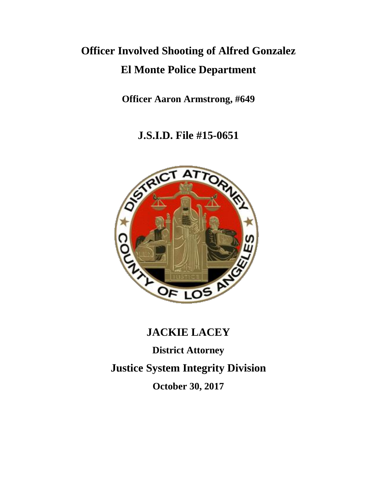## **Officer Involved Shooting of Alfred Gonzalez El Monte Police Department**

**Officer Aaron Armstrong, #649**

**J.S.I.D. File #15-0651**



# **JACKIE LACEY**

**District Attorney Justice System Integrity Division**

**October 30, 2017**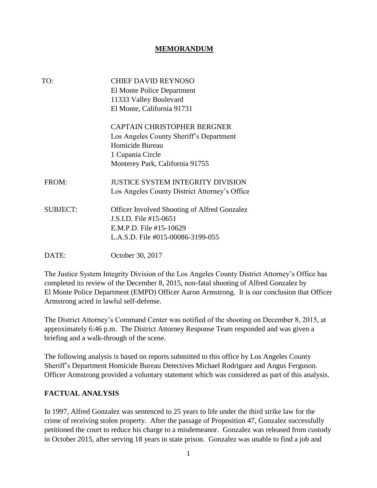#### **MEMORANDUM**

| TO:             | <b>CHIEF DAVID REYNOSO</b><br>El Monte Police Department<br>11333 Valley Boulevard<br>El Monte, California 91731                                        |
|-----------------|---------------------------------------------------------------------------------------------------------------------------------------------------------|
|                 | <b>CAPTAIN CHRISTOPHER BERGNER</b><br>Los Angeles County Sheriff's Department<br>Homicide Bureau<br>1 Cupania Circle<br>Monterey Park, California 91755 |
| FROM:           | <b>JUSTICE SYSTEM INTEGRITY DIVISION</b><br>Los Angeles County District Attorney's Office                                                               |
| <b>SUBJECT:</b> | <b>Officer Involved Shooting of Alfred Gonzalez</b><br>J.S.I.D. File #15-0651<br>E.M.P.D. File #15-10629<br>L.A.S.D. File #015-00086-3199-055           |
| DATE:           | October 30, 2017                                                                                                                                        |

The Justice System Integrity Division of the Los Angeles County District Attorney's Office has completed its review of the December 8, 2015, non-fatal shooting of Alfred Gonzalez by El Monte Police Department (EMPD) Officer Aaron Armstrong. It is our conclusion that Officer Armstrong acted in lawful self-defense.

The District Attorney's Command Center was notified of the shooting on December 8, 2015, at approximately 6:46 p.m. The District Attorney Response Team responded and was given a briefing and a walk-through of the scene.

The following analysis is based on reports submitted to this office by Los Angeles County Sheriff's Department Homicide Bureau Detectives Michael Rodriguez and Angus Ferguson. Officer Armstrong provided a voluntary statement which was considered as part of this analysis.

#### **FACTUAL ANALYSIS**

In 1997, Alfred Gonzalez was sentenced to 25 years to life under the third strike law for the crime of receiving stolen property. After the passage of Proposition 47, Gonzalez successfully petitioned the court to reduce his charge to a misdemeanor. Gonzalez was released from custody in October 2015, after serving 18 years in state prison. Gonzalez was unable to find a job and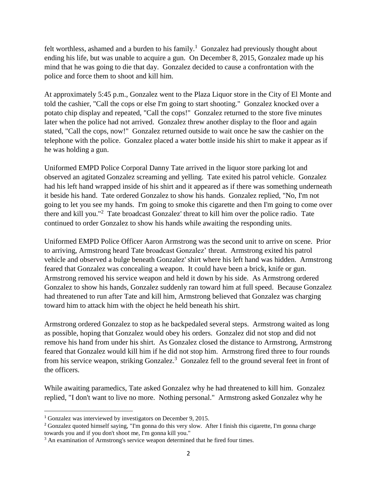felt worthless, ashamed and a burden to his family.<sup>1</sup> Gonzalez had previously thought about ending his life, but was unable to acquire a gun. On December 8, 2015, Gonzalez made up his mind that he was going to die that day. Gonzalez decided to cause a confrontation with the police and force them to shoot and kill him.

At approximately 5:45 p.m., Gonzalez went to the Plaza Liquor store in the City of El Monte and told the cashier, "Call the cops or else I'm going to start shooting." Gonzalez knocked over a potato chip display and repeated, "Call the cops!" Gonzalez returned to the store five minutes later when the police had not arrived. Gonzalez threw another display to the floor and again stated, "Call the cops, now!" Gonzalez returned outside to wait once he saw the cashier on the telephone with the police. Gonzalez placed a water bottle inside his shirt to make it appear as if he was holding a gun.

Uniformed EMPD Police Corporal Danny Tate arrived in the liquor store parking lot and observed an agitated Gonzalez screaming and yelling. Tate exited his patrol vehicle. Gonzalez had his left hand wrapped inside of his shirt and it appeared as if there was something underneath it beside his hand. Tate ordered Gonzalez to show his hands. Gonzalez replied, "No, I'm not going to let you see my hands. I'm going to smoke this cigarette and then I'm going to come over there and kill you."<sup>2</sup> Tate broadcast Gonzalez' threat to kill him over the police radio. Tate continued to order Gonzalez to show his hands while awaiting the responding units.

Uniformed EMPD Police Officer Aaron Armstrong was the second unit to arrive on scene. Prior to arriving, Armstrong heard Tate broadcast Gonzalez' threat. Armstrong exited his patrol vehicle and observed a bulge beneath Gonzalez' shirt where his left hand was hidden. Armstrong feared that Gonzalez was concealing a weapon. It could have been a brick, knife or gun. Armstrong removed his service weapon and held it down by his side. As Armstrong ordered Gonzalez to show his hands, Gonzalez suddenly ran toward him at full speed. Because Gonzalez had threatened to run after Tate and kill him, Armstrong believed that Gonzalez was charging toward him to attack him with the object he held beneath his shirt.

Armstrong ordered Gonzalez to stop as he backpedaled several steps. Armstrong waited as long as possible, hoping that Gonzalez would obey his orders. Gonzalez did not stop and did not remove his hand from under his shirt. As Gonzalez closed the distance to Armstrong, Armstrong feared that Gonzalez would kill him if he did not stop him. Armstrong fired three to four rounds from his service weapon, striking Gonzalez.<sup>3</sup> Gonzalez fell to the ground several feet in front of the officers.

While awaiting paramedics, Tate asked Gonzalez why he had threatened to kill him. Gonzalez replied, "I don't want to live no more. Nothing personal." Armstrong asked Gonzalez why he

 $\overline{\phantom{a}}$ 

<sup>1</sup> Gonzalez was interviewed by investigators on December 9, 2015.

<sup>2</sup> Gonzalez quoted himself saying, "I'm gonna do this very slow. After I finish this cigarette, I'm gonna charge towards you and if you don't shoot me, I'm gonna kill you."

<sup>&</sup>lt;sup>3</sup> An examination of Armstrong's service weapon determined that he fired four times.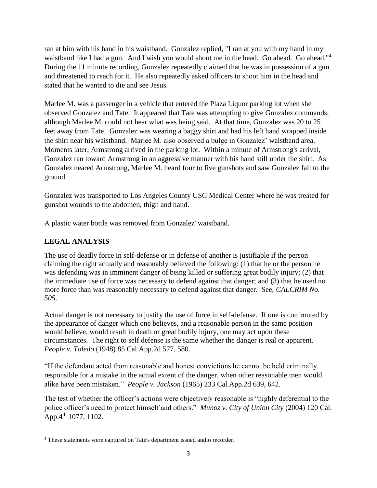ran at him with his hand in his waistband. Gonzalez replied, "I ran at you with my hand in my waistband like I had a gun. And I wish you would shoot me in the head. Go ahead. Go ahead."<sup>4</sup> During the 11 minute recording, Gonzalez repeatedly claimed that he was in possession of a gun and threatened to reach for it. He also repeatedly asked officers to shoot him in the head and stated that he wanted to die and see Jesus.

Marlee M. was a passenger in a vehicle that entered the Plaza Liquor parking lot when she observed Gonzalez and Tate. It appeared that Tate was attempting to give Gonzalez commands, although Marlee M. could not hear what was being said. At that time, Gonzalez was 20 to 25 feet away from Tate. Gonzalez was wearing a baggy shirt and had his left hand wrapped inside the shirt near his waistband. Marlee M. also observed a bulge in Gonzalez' waistband area. Moments later, Armstrong arrived in the parking lot. Within a minute of Armstrong's arrival, Gonzalez ran toward Armstrong in an aggressive manner with his hand still under the shirt. As Gonzalez neared Armstrong, Marlee M. heard four to five gunshots and saw Gonzalez fall to the ground.

Gonzalez was transported to Los Angeles County USC Medical Center where he was treated for gunshot wounds to the abdomen, thigh and hand.

A plastic water bottle was removed from Gonzalez' waistband.

### **LEGAL ANALYSIS**

 $\overline{\phantom{a}}$ 

The use of deadly force in self-defense or in defense of another is justifiable if the person claiming the right actually and reasonably believed the following: (1) that he or the person he was defending was in imminent danger of being killed or suffering great bodily injury; (2) that the immediate use of force was necessary to defend against that danger; and (3) that he used no more force than was reasonably necessary to defend against that danger. See, *CALCRIM No. 505*.

Actual danger is not necessary to justify the use of force in self-defense. If one is confronted by the appearance of danger which one believes, and a reasonable person in the same position would believe, would result in death or great bodily injury, one may act upon these circumstances. The right to self defense is the same whether the danger is real or apparent. *People v. Toledo* (1948) 85 Cal.App.2d 577, 580.

"If the defendant acted from reasonable and honest convictions he cannot be held criminally responsible for a mistake in the actual extent of the danger, when other reasonable men would alike have been mistaken." *People v. Jackson* (1965) 233 Cal.App.2d 639, 642.

The test of whether the officer's actions were objectively reasonable is "highly deferential to the police officer's need to protect himself and others." *Munoz v. City of Union City* (2004) 120 Cal. App.4<sup>th</sup> 1077, 1102.

<sup>4</sup> These statements were captured on Tate's department issued audio recorder.